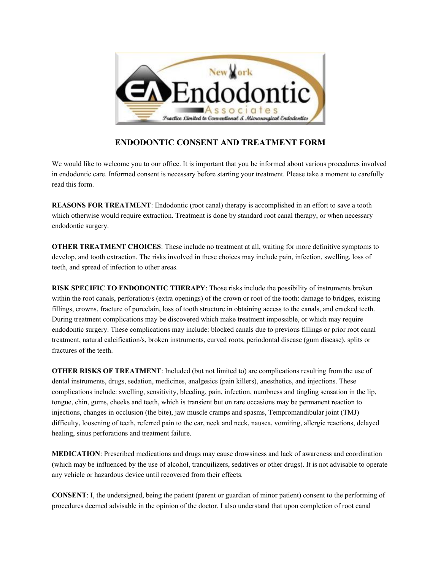

## **ENDODONTIC CONSENT AND TREATMENT FORM**

We would like to welcome you to our office. It is important that you be informed about various procedures involved in endodontic care. Informed consent is necessary before starting your treatment. Please take a moment to carefully read this form.

**REASONS FOR TREATMENT**: Endodontic (root canal) therapy is accomplished in an effort to save a tooth which otherwise would require extraction. Treatment is done by standard root canal therapy, or when necessary endodontic surgery.

**OTHER TREATMENT CHOICES**: These include no treatment at all, waiting for more definitive symptoms to develop, and tooth extraction. The risks involved in these choices may include pain, infection, swelling, loss of teeth, and spread of infection to other areas.

**RISK SPECIFIC TO ENDODONTIC THERAPY**: Those risks include the possibility of instruments broken within the root canals, perforation/s (extra openings) of the crown or root of the tooth: damage to bridges, existing fillings, crowns, fracture of porcelain, loss of tooth structure in obtaining access to the canals, and cracked teeth. During treatment complications may be discovered which make treatment impossible, or which may require endodontic surgery. These complications may include: blocked canals due to previous fillings or prior root canal treatment, natural calcification/s, broken instruments, curved roots, periodontal disease (gum disease), splits or fractures of the teeth.

**OTHER RISKS OF TREATMENT**: Included (but not limited to) are complications resulting from the use of dental instruments, drugs, sedation, medicines, analgesics (pain killers), anesthetics, and injections. These complications include: swelling, sensitivity, bleeding, pain, infection, numbness and tingling sensation in the lip, tongue, chin, gums, cheeks and teeth, which is transient but on rare occasions may be permanent reaction to injections, changes in occlusion (the bite), jaw muscle cramps and spasms, Tempromandibular joint (TMJ) difficulty, loosening of teeth, referred pain to the ear, neck and neck, nausea, vomiting, allergic reactions, delayed healing, sinus perforations and treatment failure.

**MEDICATION**: Prescribed medications and drugs may cause drowsiness and lack of awareness and coordination (which may be influenced by the use of alcohol, tranquilizers, sedatives or other drugs). It is not advisable to operate any vehicle or hazardous device until recovered from their effects.

**CONSENT**: I, the undersigned, being the patient (parent or guardian of minor patient) consent to the performing of procedures deemed advisable in the opinion of the doctor. I also understand that upon completion of root canal